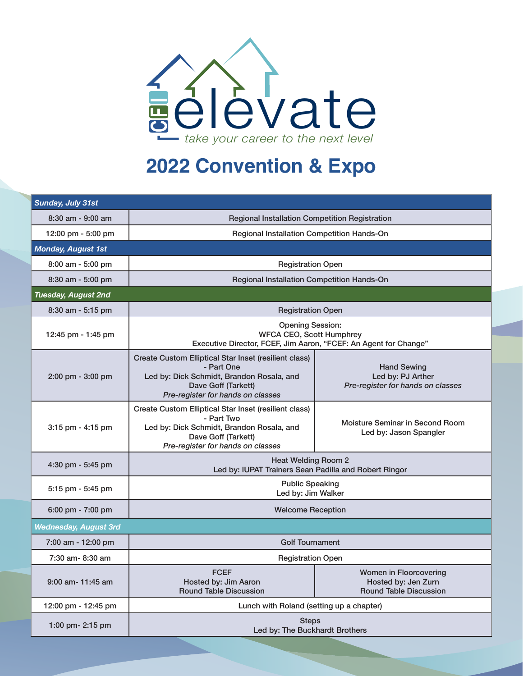

## **2022 Convention & Expo**

| Sunday, July 31st                   |                                                                                                                                                                              |                                                                                |  |
|-------------------------------------|------------------------------------------------------------------------------------------------------------------------------------------------------------------------------|--------------------------------------------------------------------------------|--|
| $8:30$ am - $9:00$ am               | <b>Regional Installation Competition Registration</b>                                                                                                                        |                                                                                |  |
| 12:00 pm - 5:00 pm                  | Regional Installation Competition Hands-On                                                                                                                                   |                                                                                |  |
| <b>Monday, August 1st</b>           |                                                                                                                                                                              |                                                                                |  |
| 8:00 am - 5:00 pm                   | <b>Registration Open</b>                                                                                                                                                     |                                                                                |  |
| 8:30 am - 5:00 pm                   | Regional Installation Competition Hands-On                                                                                                                                   |                                                                                |  |
| Tuesday, August 2nd                 |                                                                                                                                                                              |                                                                                |  |
| $8:30$ am - 5:15 pm                 | <b>Registration Open</b>                                                                                                                                                     |                                                                                |  |
| 12:45 pm - 1:45 pm                  | <b>Opening Session:</b><br><b>WFCA CEO, Scott Humphrey</b><br>Executive Director, FCEF, Jim Aaron, "FCEF: An Agent for Change"                                               |                                                                                |  |
| $2:00 \text{ pm} - 3:00 \text{ pm}$ | Create Custom Elliptical Star Inset (resilient class)<br>- Part One<br>Led by: Dick Schmidt, Brandon Rosala, and<br>Dave Goff (Tarkett)<br>Pre-register for hands on classes | <b>Hand Sewing</b><br>Led by: PJ Arther<br>Pre-register for hands on classes   |  |
| $3:15$ pm - $4:15$ pm               | Create Custom Elliptical Star Inset (resilient class)<br>- Part Two<br>Led by: Dick Schmidt, Brandon Rosala, and<br>Dave Goff (Tarkett)<br>Pre-register for hands on classes | Moisture Seminar in Second Room<br>Led by: Jason Spangler                      |  |
| 4:30 pm - 5:45 pm                   | <b>Heat Welding Room 2</b><br>Led by: IUPAT Trainers Sean Padilla and Robert Ringor                                                                                          |                                                                                |  |
| $5:15$ pm - $5:45$ pm               | <b>Public Speaking</b><br>Led by: Jim Walker                                                                                                                                 |                                                                                |  |
| 6:00 pm - 7:00 pm                   | <b>Welcome Reception</b>                                                                                                                                                     |                                                                                |  |
| <b>Wednesday, August 3rd</b>        |                                                                                                                                                                              |                                                                                |  |
| 7:00 am - 12:00 pm                  | <b>Golf Tournament</b>                                                                                                                                                       |                                                                                |  |
| 7:30 am- 8:30 am                    | <b>Registration Open</b>                                                                                                                                                     |                                                                                |  |
| 9:00 am- 11:45 am                   | <b>FCEF</b><br>Hosted by: Jim Aaron<br><b>Round Table Discussion</b>                                                                                                         | Women in Floorcovering<br>Hosted by: Jen Zurn<br><b>Round Table Discussion</b> |  |
| 12:00 pm - 12:45 pm                 | Lunch with Roland (setting up a chapter)                                                                                                                                     |                                                                                |  |
| 1:00 pm- 2:15 pm                    | <b>Steps</b><br>Led by: The Buckhardt Brothers                                                                                                                               |                                                                                |  |